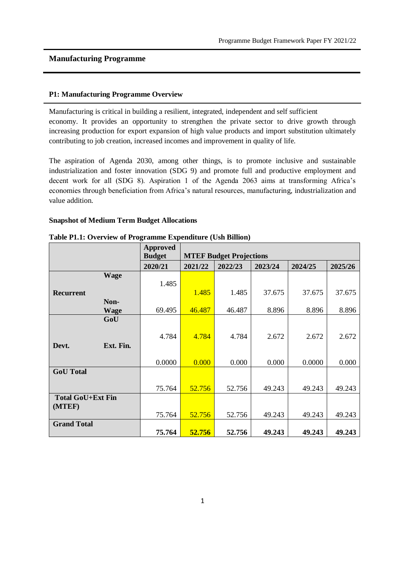#### **P1: Manufacturing Programme Overview**

Manufacturing is critical in building a resilient, integrated, independent and self sufficient economy. It provides an opportunity to strengthen the private sector to drive growth through increasing production for export expansion of high value products and import substitution ultimately contributing to job creation, increased incomes and improvement in quality of life.

The aspiration of Agenda 2030, among other things, is to promote inclusive and sustainable industrialization and foster innovation (SDG 9) and promote full and productive employment and decent work for all (SDG 8). Aspiration 1 of the Agenda 2063 aims at transforming Africa's economies through beneficiation from Africa's natural resources, manufacturing, industrialization and value addition.

#### **Snapshot of Medium Term Budget Allocations**

|                          | <b>Approved</b><br><b>Budget</b> |         | <b>MTEF Budget Projections</b> |         |         |         |
|--------------------------|----------------------------------|---------|--------------------------------|---------|---------|---------|
|                          | 2020/21                          | 2021/22 | 2022/23                        | 2023/24 | 2024/25 | 2025/26 |
| <b>Wage</b>              |                                  |         |                                |         |         |         |
|                          | 1.485                            |         |                                |         |         |         |
| <b>Recurrent</b>         |                                  | 1.485   | 1.485                          | 37.675  | 37.675  | 37.675  |
| Non-                     |                                  |         |                                |         |         |         |
| <b>Wage</b>              | 69.495                           | 46.487  | 46.487                         | 8.896   | 8.896   | 8.896   |
| GoU                      |                                  |         |                                |         |         |         |
|                          | 4.784                            | 4.784   | 4.784                          | 2.672   | 2.672   | 2.672   |
| Devt.<br>Ext. Fin.       |                                  |         |                                |         |         |         |
|                          | 0.0000                           | 0.000   | 0.000                          | 0.000   | 0.0000  | 0.000   |
| <b>GoU</b> Total         |                                  |         |                                |         |         |         |
|                          | 75.764                           | 52.756  | 52.756                         | 49.243  | 49.243  | 49.243  |
| <b>Total GoU+Ext Fin</b> |                                  |         |                                |         |         |         |
| (MTEF)                   |                                  |         |                                |         |         |         |
|                          | 75.764                           | 52.756  | 52.756                         | 49.243  | 49.243  | 49.243  |
| <b>Grand Total</b>       |                                  |         |                                |         |         |         |
|                          | 75.764                           | 52.756  | 52.756                         | 49.243  | 49.243  | 49.243  |

#### **Table P1.1: Overview of Programme Expenditure (Ush Billion)**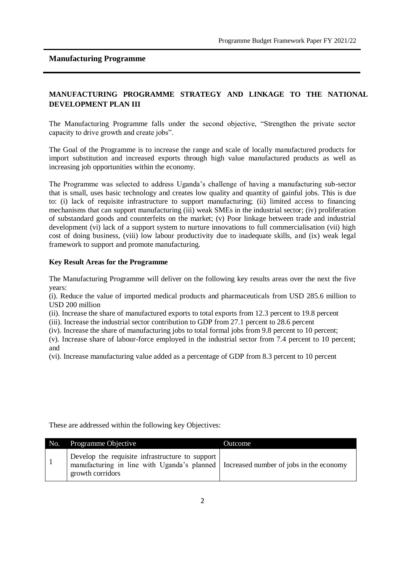### **MANUFACTURING PROGRAMME STRATEGY AND LINKAGE TO THE NATIONAL DEVELOPMENT PLAN III**

The Manufacturing Programme falls under the second objective, "Strengthen the private sector capacity to drive growth and create jobs".

The Goal of the Programme is to increase the range and scale of locally manufactured products for import substitution and increased exports through high value manufactured products as well as increasing job opportunities within the economy.

The Programme was selected to address Uganda's challenge of having a manufacturing sub-sector that is small, uses basic technology and creates low quality and quantity of gainful jobs. This is due to: (i) lack of requisite infrastructure to support manufacturing; (ii) limited access to financing mechanisms that can support manufacturing (iii) weak SMEs in the industrial sector; (iv) proliferation of substandard goods and counterfeits on the market; (v) Poor linkage between trade and industrial development (vi) lack of a support system to nurture innovations to full commercialisation (vii) high cost of doing business, (viii) low labour productivity due to inadequate skills, and (ix) weak legal framework to support and promote manufacturing.

### **Key Result Areas for the Programme**

The Manufacturing Programme will deliver on the following key results areas over the next the five years:

(i). Reduce the value of imported medical products and pharmaceuticals from USD 285.6 million to USD 200 million

(ii). Increase the share of manufactured exports to total exports from 12.3 percent to 19.8 percent

(iii). Increase the industrial sector contribution to GDP from 27.1 percent to 28.6 percent

(iv). Increase the share of manufacturing jobs to total formal jobs from 9.8 percent to 10 percent;

(v). Increase share of labour-force employed in the industrial sector from 7.4 percent to 10 percent; and

(vi). Increase manufacturing value added as a percentage of GDP from 8.3 percent to 10 percent

These are addressed within the following key Objectives:

| No. | Programme Objective                                                                                                                                          | Outcome |
|-----|--------------------------------------------------------------------------------------------------------------------------------------------------------------|---------|
|     | Develop the requisite infrastructure to support<br>manufacturing in line with Uganda's planned   Increased number of jobs in the economy<br>growth corridors |         |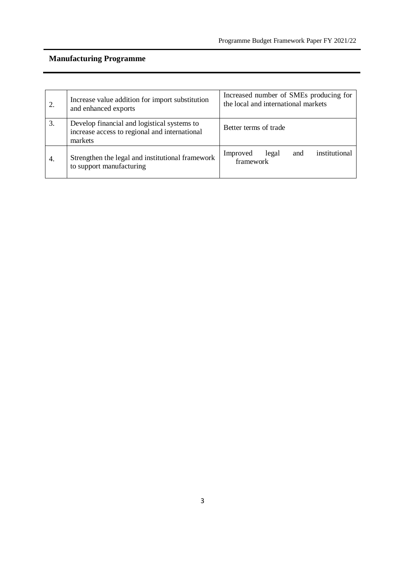|     | Increase value addition for import substitution<br>and enhanced exports                                 | Increased number of SMEs producing for<br>the local and international markets |  |  |  |
|-----|---------------------------------------------------------------------------------------------------------|-------------------------------------------------------------------------------|--|--|--|
| 3.  | Develop financial and logistical systems to<br>increase access to regional and international<br>markets | Better terms of trade                                                         |  |  |  |
| -4. | Strengthen the legal and institutional framework<br>to support manufacturing                            | institutional<br>Improved<br>legal<br>and<br>framework                        |  |  |  |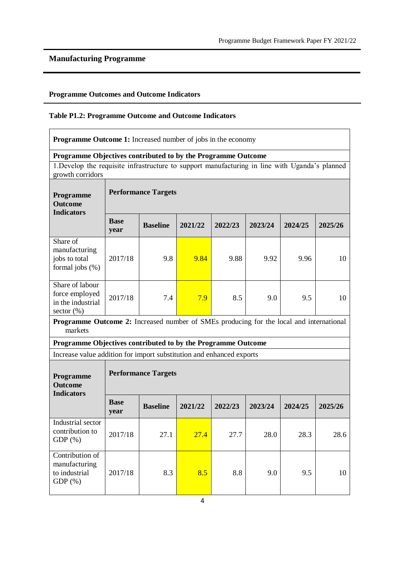## **Programme Outcomes and Outcome Indicators**

### **Table P1.2: Programme Outcome and Outcome Indicators**

| <b>Programme Outcome 1:</b> Increased number of jobs in the economy                                                |                            |                            |         |         |         |         |         |  |  |  |  |
|--------------------------------------------------------------------------------------------------------------------|----------------------------|----------------------------|---------|---------|---------|---------|---------|--|--|--|--|
| Programme Objectives contributed to by the Programme Outcome                                                       |                            |                            |         |         |         |         |         |  |  |  |  |
| 1. Develop the requisite infrastructure to support manufacturing in line with Uganda's planned<br>growth corridors |                            |                            |         |         |         |         |         |  |  |  |  |
| Programme<br><b>Outcome</b><br><b>Indicators</b>                                                                   | <b>Performance Targets</b> |                            |         |         |         |         |         |  |  |  |  |
|                                                                                                                    | <b>Base</b><br>year        | <b>Baseline</b>            | 2021/22 | 2022/23 | 2023/24 | 2024/25 | 2025/26 |  |  |  |  |
| Share of<br>manufacturing<br>jobs to total<br>formal jobs $(\%)$                                                   | 2017/18                    | 9.8                        | 9.84    | 9.88    | 9.92    | 9.96    | 10      |  |  |  |  |
| Share of labour<br>force employed<br>in the industrial<br>sector (%)                                               | 2017/18                    | 7.4                        | 7.9     | 8.5     | 9.0     | 9.5     | 10      |  |  |  |  |
| Programme Outcome 2: Increased number of SMEs producing for the local and international<br>markets                 |                            |                            |         |         |         |         |         |  |  |  |  |
| Programme Objectives contributed to by the Programme Outcome                                                       |                            |                            |         |         |         |         |         |  |  |  |  |
| Increase value addition for import substitution and enhanced exports                                               |                            |                            |         |         |         |         |         |  |  |  |  |
| Programme<br><b>Outcome</b><br><b>Indicators</b>                                                                   |                            | <b>Performance Targets</b> |         |         |         |         |         |  |  |  |  |
|                                                                                                                    | <b>Base</b><br>year        | <b>Baseline</b>            | 2021/22 | 2022/23 | 2023/24 | 2024/25 | 2025/26 |  |  |  |  |
| Industrial sector<br>contribution to<br>$GDP(\%)$                                                                  | 2017/18                    | 27.1                       | 27.4    | 27.7    | 28.0    | 28.3    | 28.6    |  |  |  |  |
| Contribution of<br>manufacturing<br>to industrial<br>GDP $(\%)$                                                    | 2017/18                    | 8.3                        | 8.5     | 8.8     | 9.0     | 9.5     | 10      |  |  |  |  |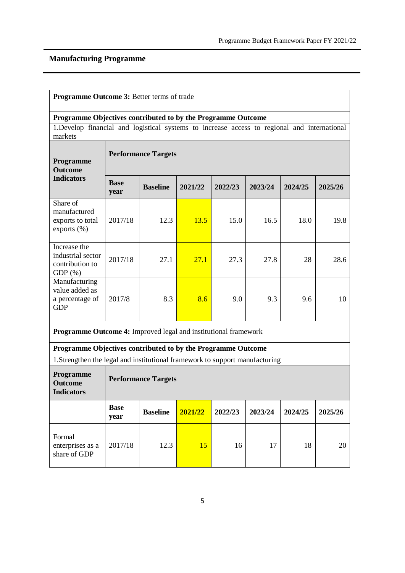|                                                                                              | Programme Outcome 3: Better terms of trade |                            |         |         |         |         |         |  |  |  |
|----------------------------------------------------------------------------------------------|--------------------------------------------|----------------------------|---------|---------|---------|---------|---------|--|--|--|
| Programme Objectives contributed to by the Programme Outcome                                 |                                            |                            |         |         |         |         |         |  |  |  |
| 1. Develop financial and logistical systems to increase access to regional and international |                                            |                            |         |         |         |         |         |  |  |  |
| markets                                                                                      |                                            |                            |         |         |         |         |         |  |  |  |
| Programme<br><b>Outcome</b>                                                                  | <b>Performance Targets</b>                 |                            |         |         |         |         |         |  |  |  |
| <b>Indicators</b>                                                                            | <b>Base</b><br>year                        | <b>Baseline</b>            | 2021/22 | 2022/23 | 2023/24 | 2024/25 | 2025/26 |  |  |  |
| Share of<br>manufactured<br>exports to total<br>exports $(\%)$                               | 2017/18                                    | 12.3                       | 13.5    | 15.0    | 16.5    | 18.0    | 19.8    |  |  |  |
| Increase the<br>industrial sector<br>contribution to<br>$GDP(\%)$                            | 2017/18                                    | 27.1                       | 27.1    | 27.3    | 27.8    | 28      | 28.6    |  |  |  |
| Manufacturing<br>value added as<br>a percentage of<br><b>GDP</b>                             | 2017/8                                     | 8.3                        | 8.6     | 9.0     | 9.3     | 9.6     | 10      |  |  |  |
| Programme Outcome 4: Improved legal and institutional framework                              |                                            |                            |         |         |         |         |         |  |  |  |
| Programme Objectives contributed to by the Programme Outcome                                 |                                            |                            |         |         |         |         |         |  |  |  |
| 1. Strengthen the legal and institutional framework to support manufacturing                 |                                            |                            |         |         |         |         |         |  |  |  |
| Programme<br><b>Outcome</b><br><b>Indicators</b>                                             |                                            | <b>Performance Targets</b> |         |         |         |         |         |  |  |  |
|                                                                                              | <b>Base</b><br>year                        | <b>Baseline</b>            | 2021/22 | 2022/23 | 2023/24 | 2024/25 | 2025/26 |  |  |  |
| Formal<br>enterprises as a<br>share of GDP                                                   | 2017/18                                    | 12.3                       | 15      | 16      | 17      | 18      | 20      |  |  |  |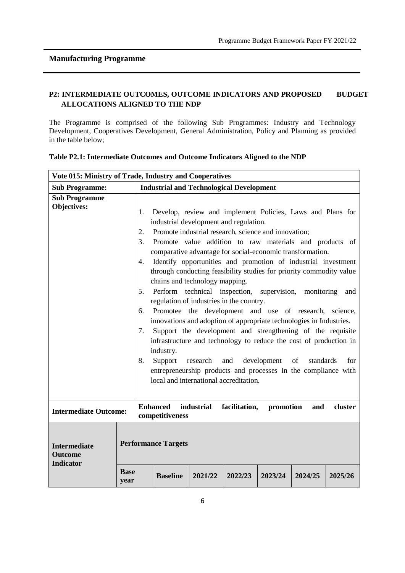### **P2: INTERMEDIATE OUTCOMES, OUTCOME INDICATORS AND PROPOSED BUDGET ALLOCATIONS ALIGNED TO THE NDP**

The Programme is comprised of the following Sub Programmes: Industry and Technology Development, Cooperatives Development, General Administration, Policy and Planning as provided in the table below;

| Vote 015: Ministry of Trade, Industry and Cooperatives    |                                              |                                                                                                                                                                                                                                                                                                                                                                                                                                                                                                                                                                                                                                                                                                                                                                                                                                                                                                                                                                                                                                                                                                                |         |         |         |         |         |  |  |
|-----------------------------------------------------------|----------------------------------------------|----------------------------------------------------------------------------------------------------------------------------------------------------------------------------------------------------------------------------------------------------------------------------------------------------------------------------------------------------------------------------------------------------------------------------------------------------------------------------------------------------------------------------------------------------------------------------------------------------------------------------------------------------------------------------------------------------------------------------------------------------------------------------------------------------------------------------------------------------------------------------------------------------------------------------------------------------------------------------------------------------------------------------------------------------------------------------------------------------------------|---------|---------|---------|---------|---------|--|--|
| <b>Sub Programme:</b>                                     |                                              | <b>Industrial and Technological Development</b>                                                                                                                                                                                                                                                                                                                                                                                                                                                                                                                                                                                                                                                                                                                                                                                                                                                                                                                                                                                                                                                                |         |         |         |         |         |  |  |
| <b>Sub Programme</b><br><b>Objectives:</b>                | 1.<br>2.<br>3.<br>4.<br>5.<br>6.<br>7.<br>8. | Develop, review and implement Policies, Laws and Plans for<br>industrial development and regulation.<br>Promote industrial research, science and innovation;<br>Promote value addition to raw materials and products of<br>comparative advantage for social-economic transformation.<br>Identify opportunities and promotion of industrial investment<br>through conducting feasibility studies for priority commodity value<br>chains and technology mapping.<br>Perform technical inspection, supervision, monitoring<br>and<br>regulation of industries in the country.<br>Promotee the development and use of research, science,<br>innovations and adoption of appropriate technologies in Industries.<br>Support the development and strengthening of the requisite<br>infrastructure and technology to reduce the cost of production in<br>industry.<br>Support<br>research and development<br>of<br>standards<br>for<br>entrepreneurship products and processes in the compliance with<br>local and international accreditation.<br><b>Enhanced</b><br>industrial<br>facilitation,<br>promotion<br>and |         |         |         |         |         |  |  |
| <b>Intermediate Outcome:</b>                              |                                              | competitiveness                                                                                                                                                                                                                                                                                                                                                                                                                                                                                                                                                                                                                                                                                                                                                                                                                                                                                                                                                                                                                                                                                                |         |         |         |         | cluster |  |  |
| <b>Intermediate</b><br><b>Outcome</b><br><b>Indicator</b> | <b>Base</b><br>year                          | <b>Performance Targets</b><br><b>Baseline</b>                                                                                                                                                                                                                                                                                                                                                                                                                                                                                                                                                                                                                                                                                                                                                                                                                                                                                                                                                                                                                                                                  | 2021/22 | 2022/23 | 2023/24 | 2024/25 | 2025/26 |  |  |

| Table P2.1: Intermediate Outcomes and Outcome Indicators Aligned to the NDP |  |  |  |
|-----------------------------------------------------------------------------|--|--|--|
|                                                                             |  |  |  |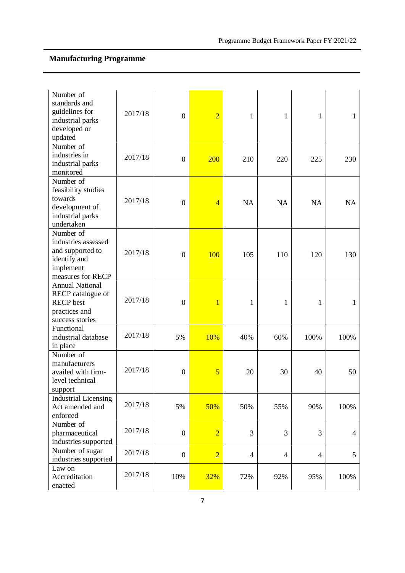| Number of<br>standards and<br>guidelines for<br>industrial parks<br>developed or<br>updated            | 2017/18 | $\boldsymbol{0}$ | $\overline{2}$ | 1              | 1              | $\mathbf{1}$   | 1         |
|--------------------------------------------------------------------------------------------------------|---------|------------------|----------------|----------------|----------------|----------------|-----------|
| Number of<br>industries in<br>industrial parks<br>monitored                                            | 2017/18 | $\boldsymbol{0}$ | 200            | 210            | 220            | 225            | 230       |
| Number of<br>feasibility studies<br>towards<br>development of<br>industrial parks<br>undertaken        | 2017/18 | $\boldsymbol{0}$ | $\overline{4}$ | <b>NA</b>      | <b>NA</b>      | <b>NA</b>      | <b>NA</b> |
| Number of<br>industries assessed<br>and supported to<br>identify and<br>implement<br>measures for RECP | 2017/18 | $\boldsymbol{0}$ | 100            | 105            | 110            | 120            | 130       |
| <b>Annual National</b><br>RECP catalogue of<br><b>RECP</b> best<br>practices and<br>success stories    | 2017/18 | $\boldsymbol{0}$ | 1              | 1              | 1              | 1              | 1         |
| Functional<br>industrial database<br>in place                                                          | 2017/18 | 5%               | 10%            | 40%            | 60%            | 100%           | 100%      |
| Number of<br>manufacturers<br>availed with firm-<br>level technical<br>support                         | 2017/18 | $\boldsymbol{0}$ | 5              | 20             | 30             | 40             | 50        |
| <b>Industrial Licensing</b><br>Act amended and<br>enforced                                             | 2017/18 | 5%               | 50%            | 50%            | 55%            | 90%            | 100%      |
| Number of<br>pharmaceutical<br>industries supported                                                    | 2017/18 | $\boldsymbol{0}$ | $\overline{2}$ | 3              | 3              | 3              | 4         |
| Number of sugar<br>industries supported                                                                | 2017/18 | $\boldsymbol{0}$ | $\overline{2}$ | $\overline{4}$ | $\overline{4}$ | $\overline{4}$ | 5         |
| Law on<br>Accreditation<br>enacted                                                                     | 2017/18 | 10%              | 32%            | 72%            | 92%            | 95%            | 100%      |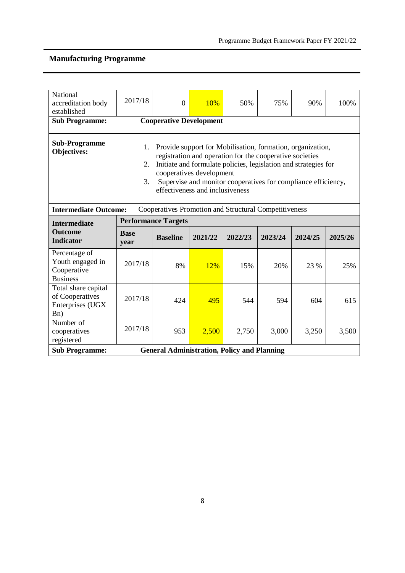| National<br>accreditation body<br>established                                         |                            | 2017/18                                                                                                                                                                                                                                                                                                                                     | $\mathbf{0}$                                       | 10%     | 50%     | 75%     | 90%     | 100%    |  |  |
|---------------------------------------------------------------------------------------|----------------------------|---------------------------------------------------------------------------------------------------------------------------------------------------------------------------------------------------------------------------------------------------------------------------------------------------------------------------------------------|----------------------------------------------------|---------|---------|---------|---------|---------|--|--|
| <b>Sub Programme:</b>                                                                 |                            |                                                                                                                                                                                                                                                                                                                                             | <b>Cooperative Development</b>                     |         |         |         |         |         |  |  |
| <b>Sub-Programme</b><br><b>Objectives:</b>                                            |                            | Provide support for Mobilisation, formation, organization,<br>1.<br>registration and operation for the cooperative societies<br>Initiate and formulate policies, legislation and strategies for<br>2.<br>cooperatives development<br>Supervise and monitor cooperatives for compliance efficiency,<br>3.<br>effectiveness and inclusiveness |                                                    |         |         |         |         |         |  |  |
| <b>Intermediate Outcome:</b><br>Cooperatives Promotion and Structural Competitiveness |                            |                                                                                                                                                                                                                                                                                                                                             |                                                    |         |         |         |         |         |  |  |
| <b>Intermediate</b>                                                                   | <b>Performance Targets</b> |                                                                                                                                                                                                                                                                                                                                             |                                                    |         |         |         |         |         |  |  |
| <b>Outcome</b><br><b>Indicator</b>                                                    | <b>Base</b><br>year        |                                                                                                                                                                                                                                                                                                                                             | <b>Baseline</b>                                    | 2021/22 | 2022/23 | 2023/24 | 2024/25 | 2025/26 |  |  |
| Percentage of<br>Youth engaged in<br>Cooperative<br><b>Business</b>                   |                            | 2017/18                                                                                                                                                                                                                                                                                                                                     | 8%                                                 | 12%     | 15%     | 20%     | 23 %    | 25%     |  |  |
| Total share capital<br>of Cooperatives<br>Enterprises (UGX<br>B <sub>n</sub> )        |                            | 2017/18                                                                                                                                                                                                                                                                                                                                     | 424                                                | 495     | 544     | 594     | 604     | 615     |  |  |
| Number of<br>cooperatives<br>registered                                               |                            | 2017/18                                                                                                                                                                                                                                                                                                                                     | 953                                                | 2,500   | 2,750   | 3,000   | 3,250   | 3,500   |  |  |
| <b>Sub Programme:</b>                                                                 |                            |                                                                                                                                                                                                                                                                                                                                             | <b>General Administration, Policy and Planning</b> |         |         |         |         |         |  |  |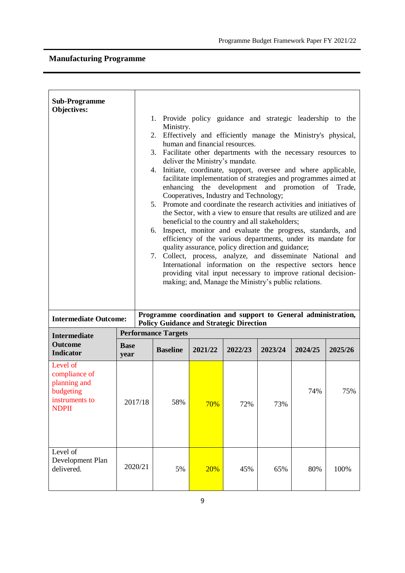| <b>Sub-Programme</b><br><b>Objectives:</b><br>2.<br>6.                                   |                     |                                                                                                                 |                            | 1. Provide policy guidance and strategic leadership to the<br>Ministry.<br>Effectively and efficiently manage the Ministry's physical,<br>human and financial resources.<br>3. Facilitate other departments with the necessary resources to<br>deliver the Ministry's mandate.<br>4. Initiate, coordinate, support, oversee and where applicable,<br>facilitate implementation of strategies and programmes aimed at<br>and promotion of Trade,<br>enhancing the development<br>Cooperatives, Industry and Technology;<br>5. Promote and coordinate the research activities and initiatives of<br>the Sector, with a view to ensure that results are utilized and are<br>beneficial to the country and all stakeholders;<br>Inspect, monitor and evaluate the progress, standards, and<br>efficiency of the various departments, under its mandate for<br>quality assurance, policy direction and guidance;<br>7. Collect, process, analyze, and disseminate National and<br>International information on the respective sectors hence<br>providing vital input necessary to improve rational decision-<br>making; and, Manage the Ministry's public relations. |         |         |         |         |  |
|------------------------------------------------------------------------------------------|---------------------|-----------------------------------------------------------------------------------------------------------------|----------------------------|-----------------------------------------------------------------------------------------------------------------------------------------------------------------------------------------------------------------------------------------------------------------------------------------------------------------------------------------------------------------------------------------------------------------------------------------------------------------------------------------------------------------------------------------------------------------------------------------------------------------------------------------------------------------------------------------------------------------------------------------------------------------------------------------------------------------------------------------------------------------------------------------------------------------------------------------------------------------------------------------------------------------------------------------------------------------------------------------------------------------------------------------------------------------|---------|---------|---------|---------|--|
| <b>Intermediate Outcome:</b>                                                             |                     | Programme coordination and support to General administration,<br><b>Policy Guidance and Strategic Direction</b> |                            |                                                                                                                                                                                                                                                                                                                                                                                                                                                                                                                                                                                                                                                                                                                                                                                                                                                                                                                                                                                                                                                                                                                                                                 |         |         |         |         |  |
| <b>Intermediate</b>                                                                      |                     |                                                                                                                 | <b>Performance Targets</b> |                                                                                                                                                                                                                                                                                                                                                                                                                                                                                                                                                                                                                                                                                                                                                                                                                                                                                                                                                                                                                                                                                                                                                                 |         |         |         |         |  |
| <b>Outcome</b><br><b>Indicator</b>                                                       | <b>Base</b><br>year |                                                                                                                 | <b>Baseline</b>            | 2021/22                                                                                                                                                                                                                                                                                                                                                                                                                                                                                                                                                                                                                                                                                                                                                                                                                                                                                                                                                                                                                                                                                                                                                         | 2022/23 | 2023/24 | 2024/25 | 2025/26 |  |
| Level of<br>compliance of<br>planning and<br>budgeting<br>instruments to<br><b>NDPII</b> | 2017/18             |                                                                                                                 | 58%                        | 70%                                                                                                                                                                                                                                                                                                                                                                                                                                                                                                                                                                                                                                                                                                                                                                                                                                                                                                                                                                                                                                                                                                                                                             | 72%     | 73%     | 74%     | 75%     |  |
| Level of<br>Development Plan<br>delivered.                                               | 2020/21             |                                                                                                                 | 5%                         | 20%                                                                                                                                                                                                                                                                                                                                                                                                                                                                                                                                                                                                                                                                                                                                                                                                                                                                                                                                                                                                                                                                                                                                                             | 45%     | 65%     | 80%     | 100%    |  |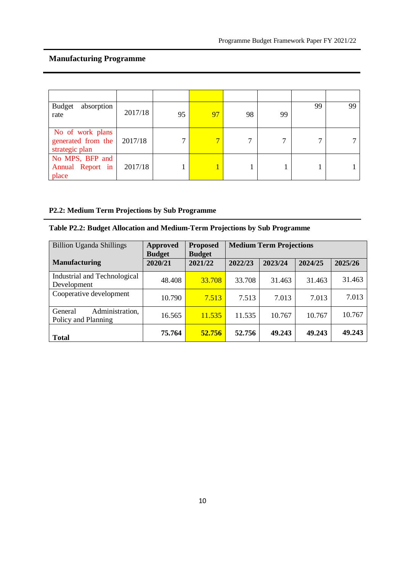| <b>Budget</b><br>absorption<br>rate                              | 2017/18 | 95 | 97 | 98 | 99 | 99 | 99 |
|------------------------------------------------------------------|---------|----|----|----|----|----|----|
| No of work plans<br>generated from the 2017/18<br>strategic plan |         |    |    | ⇁  |    |    |    |
| No MPS, BFP and<br>Annual Report in<br>place                     | 2017/18 |    |    |    |    |    |    |

## **P2.2: Medium Term Projections by Sub Programme**

## **Table P2.2: Budget Allocation and Medium-Term Projections by Sub Programme**

| <b>Billion Uganda Shillings</b>                   | <b>Approved</b><br><b>Budget</b> | <b>Proposed</b><br><b>Budget</b> | <b>Medium Term Projections</b> |         |         |         |  |
|---------------------------------------------------|----------------------------------|----------------------------------|--------------------------------|---------|---------|---------|--|
| <b>Manufacturing</b>                              | 2020/21                          | 2021/22                          | 2022/23                        | 2023/24 | 2024/25 | 2025/26 |  |
| Industrial and Technological<br>Development       | 48.408                           | 33.708                           | 33.708                         | 31.463  | 31.463  | 31.463  |  |
| Cooperative development                           | 10.790                           | 7.513                            | 7.513                          | 7.013   | 7.013   | 7.013   |  |
| Administration,<br>General<br>Policy and Planning | 16.565                           | 11.535                           | 11.535                         | 10.767  | 10.767  | 10.767  |  |
| <b>Total</b>                                      | 75.764                           | 52.756                           | 52.756                         | 49.243  | 49.243  | 49.243  |  |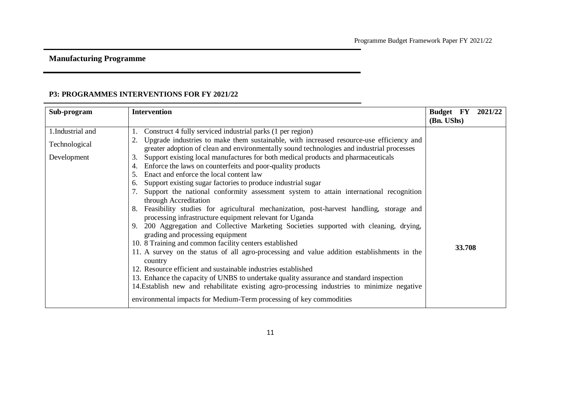### **P3: PROGRAMMES INTERVENTIONS FOR FY 2021/22**

| Sub-program                                      | <b>Intervention</b>                                                                                                                                                                                                                                                                                                                                                                                                                                                                                                                                                                                                                                                                                                                                                                                                                                                                                                                                                                                                                                                                                                                                                                                                                                                                                                                                                      | <b>Budget</b> FY<br>(Bn. UShs) | 2021/22 |
|--------------------------------------------------|--------------------------------------------------------------------------------------------------------------------------------------------------------------------------------------------------------------------------------------------------------------------------------------------------------------------------------------------------------------------------------------------------------------------------------------------------------------------------------------------------------------------------------------------------------------------------------------------------------------------------------------------------------------------------------------------------------------------------------------------------------------------------------------------------------------------------------------------------------------------------------------------------------------------------------------------------------------------------------------------------------------------------------------------------------------------------------------------------------------------------------------------------------------------------------------------------------------------------------------------------------------------------------------------------------------------------------------------------------------------------|--------------------------------|---------|
| 1.Industrial and<br>Technological<br>Development | Construct 4 fully serviced industrial parks (1 per region)<br>Upgrade industries to make them sustainable, with increased resource-use efficiency and<br>greater adoption of clean and environmentally sound technologies and industrial processes<br>Support existing local manufactures for both medical products and pharmaceuticals<br>3.<br>Enforce the laws on counterfeits and poor-quality products<br>4.<br>Enact and enforce the local content law<br>5.<br>Support existing sugar factories to produce industrial sugar<br>6.<br>Support the national conformity assessment system to attain international recognition<br>through Accreditation<br>Feasibility studies for agricultural mechanization, post-harvest handling, storage and<br>processing infrastructure equipment relevant for Uganda<br>200 Aggregation and Collective Marketing Societies supported with cleaning, drying,<br>grading and processing equipment<br>10. 8 Training and common facility centers established<br>11. A survey on the status of all agro-processing and value addition establishments in the<br>country<br>12. Resource efficient and sustainable industries established<br>13. Enhance the capacity of UNBS to undertake quality assurance and standard inspection<br>14. Establish new and rehabilitate existing agro-processing industries to minimize negative | 33.708                         |         |
|                                                  | environmental impacts for Medium-Term processing of key commodities                                                                                                                                                                                                                                                                                                                                                                                                                                                                                                                                                                                                                                                                                                                                                                                                                                                                                                                                                                                                                                                                                                                                                                                                                                                                                                      |                                |         |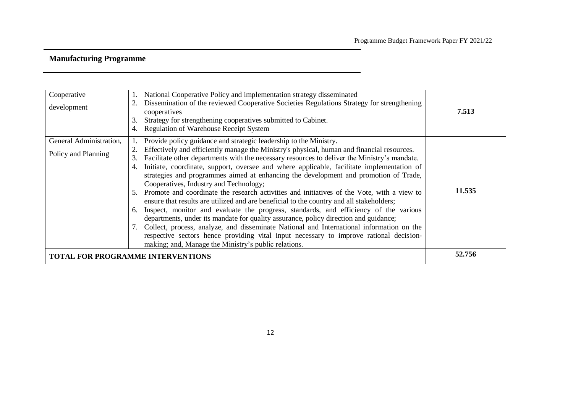| Cooperative<br>development                     | National Cooperative Policy and implementation strategy disseminated<br>Dissemination of the reviewed Cooperative Societies Regulations Strategy for strengthening<br>cooperatives<br>Strategy for strengthening cooperatives submitted to Cabinet.<br>4. Regulation of Warehouse Receipt System                                                                                                                                                                                                                                                                                                                                                                                                                                                                                                                                                                                                                                                                                                                                                                                                                                      | 7.513  |
|------------------------------------------------|---------------------------------------------------------------------------------------------------------------------------------------------------------------------------------------------------------------------------------------------------------------------------------------------------------------------------------------------------------------------------------------------------------------------------------------------------------------------------------------------------------------------------------------------------------------------------------------------------------------------------------------------------------------------------------------------------------------------------------------------------------------------------------------------------------------------------------------------------------------------------------------------------------------------------------------------------------------------------------------------------------------------------------------------------------------------------------------------------------------------------------------|--------|
| General Administration,<br>Policy and Planning | Provide policy guidance and strategic leadership to the Ministry.<br>Effectively and efficiently manage the Ministry's physical, human and financial resources.<br>Facilitate other departments with the necessary resources to deliver the Ministry's mandate.<br>3.<br>Initiate, coordinate, support, oversee and where applicable, facilitate implementation of<br>strategies and programmes aimed at enhancing the development and promotion of Trade,<br>Cooperatives, Industry and Technology;<br>5. Promote and coordinate the research activities and initiatives of the Vote, with a view to<br>ensure that results are utilized and are beneficial to the country and all stakeholders;<br>6. Inspect, monitor and evaluate the progress, standards, and efficiency of the various<br>departments, under its mandate for quality assurance, policy direction and guidance;<br>7. Collect, process, analyze, and disseminate National and International information on the<br>respective sectors hence providing vital input necessary to improve rational decision-<br>making; and, Manage the Ministry's public relations. | 11.535 |
| <b>TOTAL FOR PROGRAMME INTERVENTIONS</b>       |                                                                                                                                                                                                                                                                                                                                                                                                                                                                                                                                                                                                                                                                                                                                                                                                                                                                                                                                                                                                                                                                                                                                       | 52.756 |